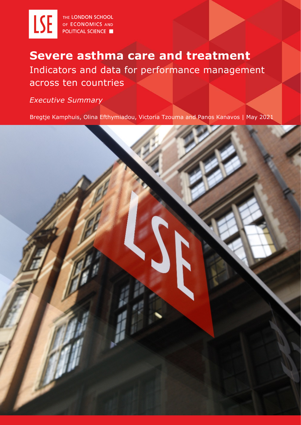

# **Severe asthma care and treatment**  Indicators and data for performance management across ten countries

*Executive Summary*

Bregtje Kamphuis, Olina Efthymiadou, Victoria Tzouma and Panos Kanavos | May 2021

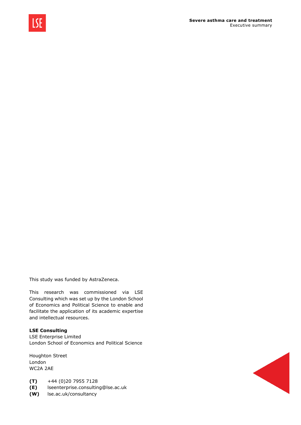

This study was funded by AstraZeneca.

This research was commissioned via LSE Consulting which was set up by the London School of Economics and Political Science to enable and facilitate the application of its academic expertise and intellectual resources.

#### **LSE Consulting**

LSE Enterprise Limited London School of Economics and Political Science

Houghton Street London WC2A 2AE

- **(T)** +44 (0)20 7955 7128
- **(E)** lseenterprise.consulting@lse.ac.uk
- **(W)** lse.ac.uk/consultancy

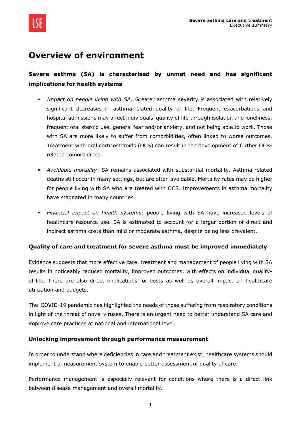

### **Overview of environment**

### **Severe asthma (SA) is characterised by unmet need and has significant implications for health systems**

- *Impact on people living with SA:* Greater asthma severity is associated with relatively significant decreases in asthma-related quality of life. Frequent exacerbations and hospital admissions may affect individuals' quality of life through isolation and loneliness, frequent oral steroid use, general fear and/or anxiety, and not being able to work. Those with SA are more likely to suffer from comorbidities, often linked to worse outcomes. Treatment with oral corticosteroids (OCS) can result in the development of further OCSrelated comorbidities.
- *Avoidable mortality*: SA remains associated with substantial mortality. Asthma-related deaths still occur in many settings, but are often avoidable. Mortality rates may be higher for people living with SA who are treated with OCS. Improvements in asthma mortality have stagnated in many countries.
- *Financial impact on health systems:* people living with SA have increased levels of healthcare resource use. SA is estimated to account for a larger portion of direct and indirect asthma costs than mild or moderate asthma, despite being less prevalent.

#### **Quality of care and treatment for severe asthma must be improved immediately**

Evidence suggests that more effective care, treatment and management of people living with SA results in noticeably reduced mortality, improved outcomes, with effects on individual qualityof-life. There are also direct implications for costs as well as overall impact on healthcare utilization and budgets.

The COVID-19 pandemic has highlighted the needs of those suffering from respiratory conditions in light of the threat of novel viruses. There is an urgent need to better understand SA care and improve care practices at national and international level.

#### **Unlocking improvement through performance measurement**

In order to understand where deficiencies in care and treatment exist, healthcare systems should implement a measurement system to enable better assessment of quality of care.

Performance management is especially relevant for conditions where there is a direct link between disease management and overall mortality.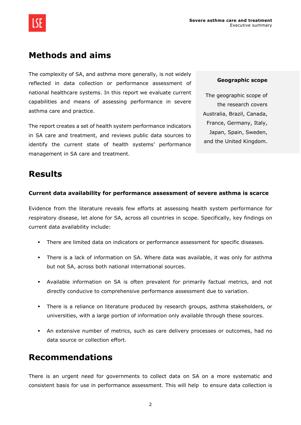

## **Methods and aims**

The complexity of SA, and asthma more generally, is not widely reflected in data collection or performance assessment of national healthcare systems. In this report we evaluate current capabilities and means of assessing performance in severe asthma care and practice.

The report creates a set of health system performance indicators in SA care and treatment, and reviews public data sources to identify the current state of health systems' performance management in SA care and treatment.

#### **Geographic scope**

The geographic scope of the research covers Australia, Brazil, Canada, France, Germany, Italy, Japan, Spain, Sweden, and the United Kingdom.

### **Results**

#### **Current data availability for performance assessment of severe asthma is scarce**

Evidence from the literature reveals few efforts at assessing health system performance for respiratory disease, let alone for SA, across all countries in scope. Specifically, key findings on current data availability include:

- There are limited data on indicators or performance assessment for specific diseases.
- There is a lack of information on SA. Where data was available, it was only for asthma but not SA, across both national international sources.
- Available information on SA is often prevalent for primarily factual metrics, and not directly conducive to comprehensive performance assessment due to variation.
- There is a reliance on literature produced by research groups, asthma stakeholders, or universities, with a large portion of information only available through these sources.
- An extensive number of metrics, such as care delivery processes or outcomes, had no data source or collection effort.

### **Recommendations**

There is an urgent need for governments to collect data on SA on a more systematic and consistent basis for use in performance assessment. This will help to ensure data collection is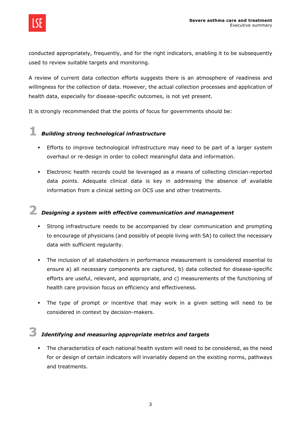

conducted appropriately, frequently, and for the right indicators, enabling it to be subsequently used to review suitable targets and monitoring.

A review of current data collection efforts suggests there is an atmosphere of readiness and willingness for the collection of data. However, the actual collection processes and application of health data, especially for disease-specific outcomes, is not yet present.

It is strongly recommended that the points of focus for governments should be:

## **1** *Building strong technological infrastructure*

- **Efforts to improve technological infrastructure may need to be part of a larger system** overhaul or re-design in order to collect meaningful data and information.
- Electronic health records could be leveraged as a means of collecting clinician-reported data points. Adequate clinical data is key in addressing the absence of available information from a clinical setting on OCS use and other treatments.

## **2** *Designing a system with effective communication and management*

- Strong infrastructure needs to be accompanied by clear communication and prompting to encourage of physicians (and possibly of people living with SA) to collect the necessary data with sufficient regularity.
- The inclusion of all stakeholders in performance measurement is considered essential to ensure a) all necessary components are captured, b) data collected for disease-specific efforts are useful, relevant, and appropriate, and c) measurements of the functioning of health care provision focus on efficiency and effectiveness.
- The type of prompt or incentive that may work in a given setting will need to be considered in context by decision-makers.

## **3** *Identifying and measuring appropriate metrics and targets*

 The characteristics of each national health system will need to be considered, as the need for or design of certain indicators will invariably depend on the existing norms, pathways and treatments.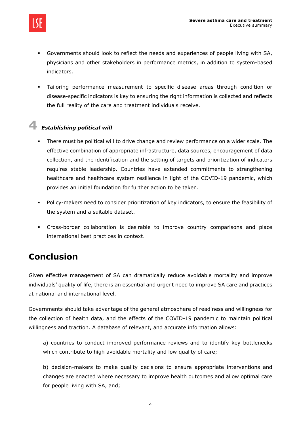

- Governments should look to reflect the needs and experiences of people living with SA, physicians and other stakeholders in performance metrics, in addition to system-based indicators.
- Tailoring performance measurement to specific disease areas through condition or disease-specific indicators is key to ensuring the right information is collected and reflects the full reality of the care and treatment individuals receive.

# **4** *Establishing political will*

- There must be political will to drive change and review performance on a wider scale. The effective combination of appropriate infrastructure, data sources, encouragement of data collection, and the identification and the setting of targets and prioritization of indicators requires stable leadership. Countries have extended commitments to strengthening healthcare and healthcare system resilience in light of the COVID-19 pandemic, which provides an initial foundation for further action to be taken.
- Policy-makers need to consider prioritization of key indicators, to ensure the feasibility of the system and a suitable dataset.
- Cross-border collaboration is desirable to improve country comparisons and place international best practices in context.

## **Conclusion**

Given effective management of SA can dramatically reduce avoidable mortality and improve individuals' quality of life, there is an essential and urgent need to improve SA care and practices at national and international level.

Governments should take advantage of the general atmosphere of readiness and willingness for the collection of health data, and the effects of the COVID-19 pandemic to maintain political willingness and traction. A database of relevant, and accurate information allows:

a) countries to conduct improved performance reviews and to identify key bottlenecks which contribute to high avoidable mortality and low quality of care;

b) decision-makers to make quality decisions to ensure appropriate interventions and changes are enacted where necessary to improve health outcomes and allow optimal care for people living with SA, and;